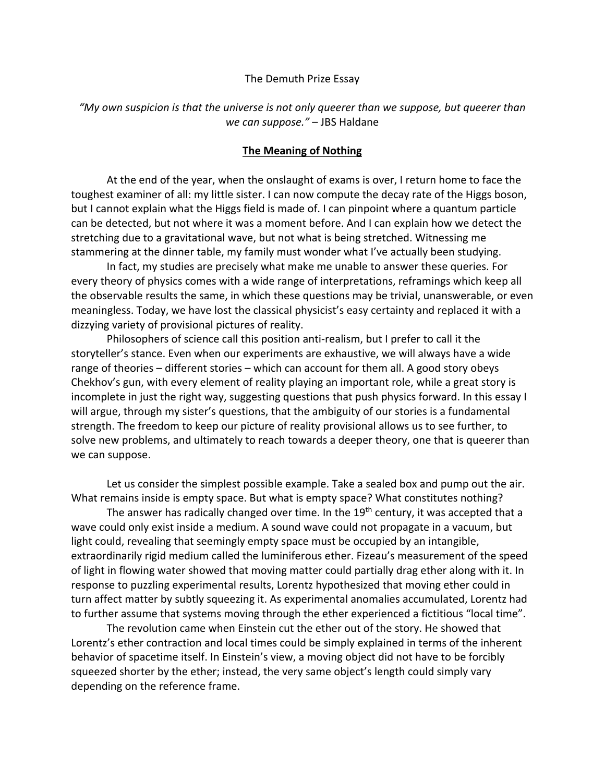## The Demuth Prize Essay

## *"My own suspicion is that the universe is not only queerer than we suppose, but queerer than we can suppose."* – JBS Haldane

## **The Meaning of Nothing**

At the end of the year, when the onslaught of exams is over, I return home to face the toughest examiner of all: my little sister. I can now compute the decay rate of the Higgs boson, but I cannot explain what the Higgs field is made of. I can pinpoint where a quantum particle can be detected, but not where it was a moment before. And I can explain how we detect the stretching due to a gravitational wave, but not what is being stretched. Witnessing me stammering at the dinner table, my family must wonder what I've actually been studying.

In fact, my studies are precisely what make me unable to answer these queries. For every theory of physics comes with a wide range of interpretations, reframings which keep all the observable results the same, in which these questions may be trivial, unanswerable, or even meaningless. Today, we have lost the classical physicist's easy certainty and replaced it with a dizzying variety of provisional pictures of reality.

Philosophers of science call this position anti-realism, but I prefer to call it the storyteller's stance. Even when our experiments are exhaustive, we will always have a wide range of theories – different stories – which can account for them all. A good story obeys Chekhov's gun, with every element of reality playing an important role, while a great story is incomplete in just the right way, suggesting questions that push physics forward. In this essay I will argue, through my sister's questions, that the ambiguity of our stories is a fundamental strength. The freedom to keep our picture of reality provisional allows us to see further, to solve new problems, and ultimately to reach towards a deeper theory, one that is queerer than we can suppose.

Let us consider the simplest possible example. Take a sealed box and pump out the air. What remains inside is empty space. But what is empty space? What constitutes nothing?

The answer has radically changed over time. In the 19<sup>th</sup> century, it was accepted that a wave could only exist inside a medium. A sound wave could not propagate in a vacuum, but light could, revealing that seemingly empty space must be occupied by an intangible, extraordinarily rigid medium called the luminiferous ether. Fizeau's measurement of the speed of light in flowing water showed that moving matter could partially drag ether along with it. In response to puzzling experimental results, Lorentz hypothesized that moving ether could in turn affect matter by subtly squeezing it. As experimental anomalies accumulated, Lorentz had to further assume that systems moving through the ether experienced a fictitious "local time".

The revolution came when Einstein cut the ether out of the story. He showed that Lorentz's ether contraction and local times could be simply explained in terms of the inherent behavior of spacetime itself. In Einstein's view, a moving object did not have to be forcibly squeezed shorter by the ether; instead, the very same object's length could simply vary depending on the reference frame.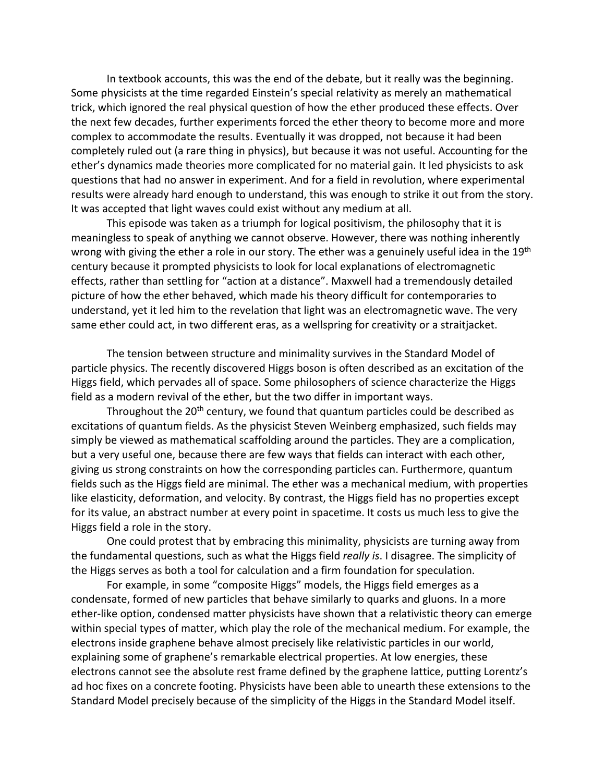In textbook accounts, this was the end of the debate, but it really was the beginning. Some physicists at the time regarded Einstein's special relativity as merely an mathematical trick, which ignored the real physical question of how the ether produced these effects. Over the next few decades, further experiments forced the ether theory to become more and more complex to accommodate the results. Eventually it was dropped, not because it had been completely ruled out (a rare thing in physics), but because it was not useful. Accounting for the ether's dynamics made theories more complicated for no material gain. It led physicists to ask questions that had no answer in experiment. And for a field in revolution, where experimental results were already hard enough to understand, this was enough to strike it out from the story. It was accepted that light waves could exist without any medium at all.

This episode was taken as a triumph for logical positivism, the philosophy that it is meaningless to speak of anything we cannot observe. However, there was nothing inherently wrong with giving the ether a role in our story. The ether was a genuinely useful idea in the 19<sup>th</sup> century because it prompted physicists to look for local explanations of electromagnetic effects, rather than settling for "action at a distance". Maxwell had a tremendously detailed picture of how the ether behaved, which made his theory difficult for contemporaries to understand, yet it led him to the revelation that light was an electromagnetic wave. The very same ether could act, in two different eras, as a wellspring for creativity or a straitjacket.

The tension between structure and minimality survives in the Standard Model of particle physics. The recently discovered Higgs boson is often described as an excitation of the Higgs field, which pervades all of space. Some philosophers of science characterize the Higgs field as a modern revival of the ether, but the two differ in important ways.

Throughout the 20<sup>th</sup> century, we found that quantum particles could be described as excitations of quantum fields. As the physicist Steven Weinberg emphasized, such fields may simply be viewed as mathematical scaffolding around the particles. They are a complication, but a very useful one, because there are few ways that fields can interact with each other, giving us strong constraints on how the corresponding particles can. Furthermore, quantum fields such as the Higgs field are minimal. The ether was a mechanical medium, with properties like elasticity, deformation, and velocity. By contrast, the Higgs field has no properties except for its value, an abstract number at every point in spacetime. It costs us much less to give the Higgs field a role in the story.

One could protest that by embracing this minimality, physicists are turning away from the fundamental questions, such as what the Higgs field *really is*. I disagree. The simplicity of the Higgs serves as both a tool for calculation and a firm foundation for speculation.

For example, in some "composite Higgs" models, the Higgs field emerges as a condensate, formed of new particles that behave similarly to quarks and gluons. In a more ether-like option, condensed matter physicists have shown that a relativistic theory can emerge within special types of matter, which play the role of the mechanical medium. For example, the electrons inside graphene behave almost precisely like relativistic particles in our world, explaining some of graphene's remarkable electrical properties. At low energies, these electrons cannot see the absolute rest frame defined by the graphene lattice, putting Lorentz's ad hoc fixes on a concrete footing. Physicists have been able to unearth these extensions to the Standard Model precisely because of the simplicity of the Higgs in the Standard Model itself.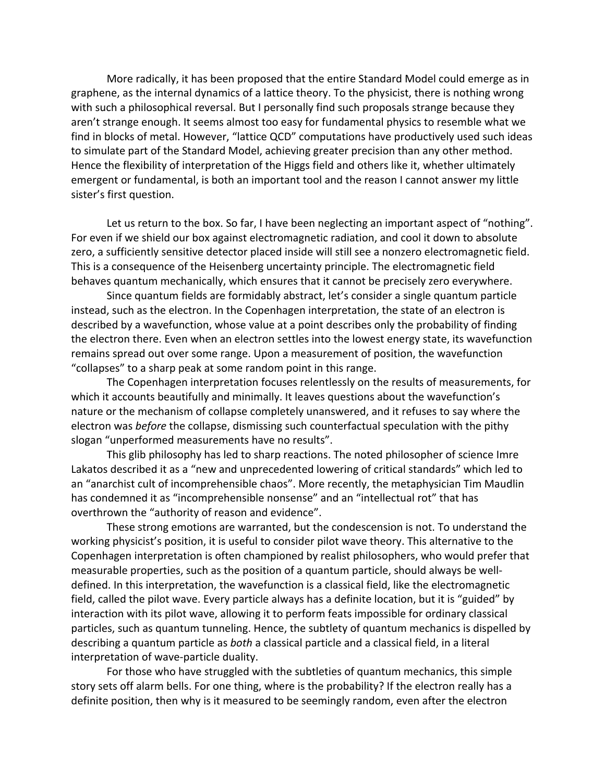More radically, it has been proposed that the entire Standard Model could emerge as in graphene, as the internal dynamics of a lattice theory. To the physicist, there is nothing wrong with such a philosophical reversal. But I personally find such proposals strange because they aren't strange enough. It seems almost too easy for fundamental physics to resemble what we find in blocks of metal. However, "lattice QCD" computations have productively used such ideas to simulate part of the Standard Model, achieving greater precision than any other method. Hence the flexibility of interpretation of the Higgs field and others like it, whether ultimately emergent or fundamental, is both an important tool and the reason I cannot answer my little sister's first question.

Let us return to the box. So far, I have been neglecting an important aspect of "nothing". For even if we shield our box against electromagnetic radiation, and cool it down to absolute zero, a sufficiently sensitive detector placed inside will still see a nonzero electromagnetic field. This is a consequence of the Heisenberg uncertainty principle. The electromagnetic field behaves quantum mechanically, which ensures that it cannot be precisely zero everywhere.

Since quantum fields are formidably abstract, let's consider a single quantum particle instead, such as the electron. In the Copenhagen interpretation, the state of an electron is described by a wavefunction, whose value at a point describes only the probability of finding the electron there. Even when an electron settles into the lowest energy state, its wavefunction remains spread out over some range. Upon a measurement of position, the wavefunction "collapses" to a sharp peak at some random point in this range.

The Copenhagen interpretation focuses relentlessly on the results of measurements, for which it accounts beautifully and minimally. It leaves questions about the wavefunction's nature or the mechanism of collapse completely unanswered, and it refuses to say where the electron was *before* the collapse, dismissing such counterfactual speculation with the pithy slogan "unperformed measurements have no results".

This glib philosophy has led to sharp reactions. The noted philosopher of science Imre Lakatos described it as a "new and unprecedented lowering of critical standards" which led to an "anarchist cult of incomprehensible chaos". More recently, the metaphysician Tim Maudlin has condemned it as "incomprehensible nonsense" and an "intellectual rot" that has overthrown the "authority of reason and evidence".

These strong emotions are warranted, but the condescension is not. To understand the working physicist's position, it is useful to consider pilot wave theory. This alternative to the Copenhagen interpretation is often championed by realist philosophers, who would prefer that measurable properties, such as the position of a quantum particle, should always be welldefined. In this interpretation, the wavefunction is a classical field, like the electromagnetic field, called the pilot wave. Every particle always has a definite location, but it is "guided" by interaction with its pilot wave, allowing it to perform feats impossible for ordinary classical particles, such as quantum tunneling. Hence, the subtlety of quantum mechanics is dispelled by describing a quantum particle as *both* a classical particle and a classical field, in a literal interpretation of wave-particle duality.

For those who have struggled with the subtleties of quantum mechanics, this simple story sets off alarm bells. For one thing, where is the probability? If the electron really has a definite position, then why is it measured to be seemingly random, even after the electron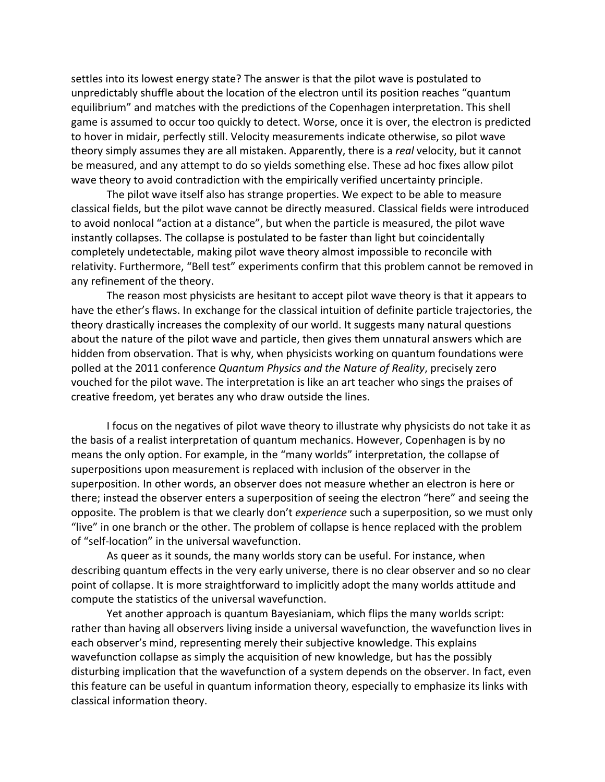settles into its lowest energy state? The answer is that the pilot wave is postulated to unpredictably shuffle about the location of the electron until its position reaches "quantum equilibrium" and matches with the predictions of the Copenhagen interpretation. This shell game is assumed to occur too quickly to detect. Worse, once it is over, the electron is predicted to hover in midair, perfectly still. Velocity measurements indicate otherwise, so pilot wave theory simply assumes they are all mistaken. Apparently, there is a *real* velocity, but it cannot be measured, and any attempt to do so yields something else. These ad hoc fixes allow pilot wave theory to avoid contradiction with the empirically verified uncertainty principle.

The pilot wave itself also has strange properties. We expect to be able to measure classical fields, but the pilot wave cannot be directly measured. Classical fields were introduced to avoid nonlocal "action at a distance", but when the particle is measured, the pilot wave instantly collapses. The collapse is postulated to be faster than light but coincidentally completely undetectable, making pilot wave theory almost impossible to reconcile with relativity. Furthermore, "Bell test" experiments confirm that this problem cannot be removed in any refinement of the theory.

The reason most physicists are hesitant to accept pilot wave theory is that it appears to have the ether's flaws. In exchange for the classical intuition of definite particle trajectories, the theory drastically increases the complexity of our world. It suggests many natural questions about the nature of the pilot wave and particle, then gives them unnatural answers which are hidden from observation. That is why, when physicists working on quantum foundations were polled at the 2011 conference *Quantum Physics and the Nature of Reality*, precisely zero vouched for the pilot wave. The interpretation is like an art teacher who sings the praises of creative freedom, yet berates any who draw outside the lines.

I focus on the negatives of pilot wave theory to illustrate why physicists do not take it as the basis of a realist interpretation of quantum mechanics. However, Copenhagen is by no means the only option. For example, in the "many worlds" interpretation, the collapse of superpositions upon measurement is replaced with inclusion of the observer in the superposition. In other words, an observer does not measure whether an electron is here or there; instead the observer enters a superposition of seeing the electron "here" and seeing the opposite. The problem is that we clearly don't *experience* such a superposition, so we must only "live" in one branch or the other. The problem of collapse is hence replaced with the problem of "self-location" in the universal wavefunction.

As queer as it sounds, the many worlds story can be useful. For instance, when describing quantum effects in the very early universe, there is no clear observer and so no clear point of collapse. It is more straightforward to implicitly adopt the many worlds attitude and compute the statistics of the universal wavefunction.

Yet another approach is quantum Bayesianiam, which flips the many worlds script: rather than having all observers living inside a universal wavefunction, the wavefunction lives in each observer's mind, representing merely their subjective knowledge. This explains wavefunction collapse as simply the acquisition of new knowledge, but has the possibly disturbing implication that the wavefunction of a system depends on the observer. In fact, even this feature can be useful in quantum information theory, especially to emphasize its links with classical information theory.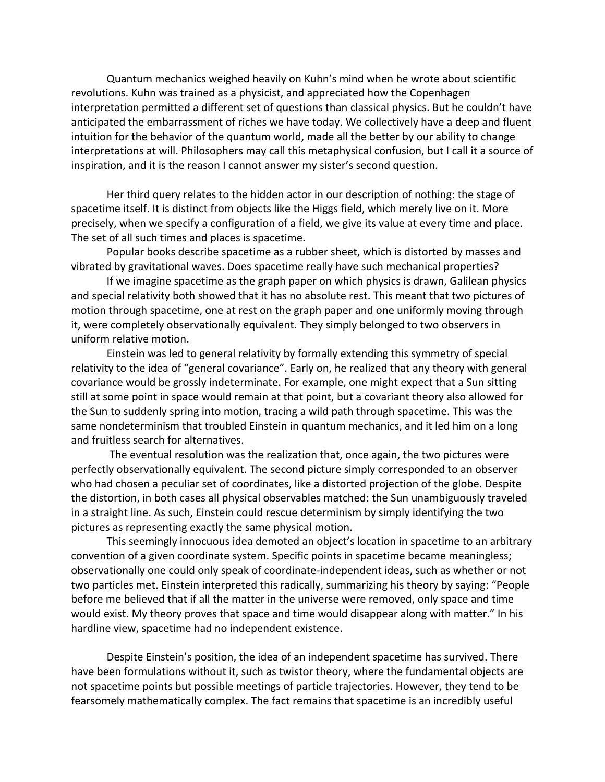Quantum mechanics weighed heavily on Kuhn's mind when he wrote about scientific revolutions. Kuhn was trained as a physicist, and appreciated how the Copenhagen interpretation permitted a different set of questions than classical physics. But he couldn't have anticipated the embarrassment of riches we have today. We collectively have a deep and fluent intuition for the behavior of the quantum world, made all the better by our ability to change interpretations at will. Philosophers may call this metaphysical confusion, but I call it a source of inspiration, and it is the reason I cannot answer my sister's second question.

Her third query relates to the hidden actor in our description of nothing: the stage of spacetime itself. It is distinct from objects like the Higgs field, which merely live on it. More precisely, when we specify a configuration of a field, we give its value at every time and place. The set of all such times and places is spacetime.

Popular books describe spacetime as a rubber sheet, which is distorted by masses and vibrated by gravitational waves. Does spacetime really have such mechanical properties?

If we imagine spacetime as the graph paper on which physics is drawn, Galilean physics and special relativity both showed that it has no absolute rest. This meant that two pictures of motion through spacetime, one at rest on the graph paper and one uniformly moving through it, were completely observationally equivalent. They simply belonged to two observers in uniform relative motion.

Einstein was led to general relativity by formally extending this symmetry of special relativity to the idea of "general covariance". Early on, he realized that any theory with general covariance would be grossly indeterminate. For example, one might expect that a Sun sitting still at some point in space would remain at that point, but a covariant theory also allowed for the Sun to suddenly spring into motion, tracing a wild path through spacetime. This was the same nondeterminism that troubled Einstein in quantum mechanics, and it led him on a long and fruitless search for alternatives.

The eventual resolution was the realization that, once again, the two pictures were perfectly observationally equivalent. The second picture simply corresponded to an observer who had chosen a peculiar set of coordinates, like a distorted projection of the globe. Despite the distortion, in both cases all physical observables matched: the Sun unambiguously traveled in a straight line. As such, Einstein could rescue determinism by simply identifying the two pictures as representing exactly the same physical motion.

This seemingly innocuous idea demoted an object's location in spacetime to an arbitrary convention of a given coordinate system. Specific points in spacetime became meaningless; observationally one could only speak of coordinate-independent ideas, such as whether or not two particles met. Einstein interpreted this radically, summarizing his theory by saying: "People before me believed that if all the matter in the universe were removed, only space and time would exist. My theory proves that space and time would disappear along with matter." In his hardline view, spacetime had no independent existence.

Despite Einstein's position, the idea of an independent spacetime has survived. There have been formulations without it, such as twistor theory, where the fundamental objects are not spacetime points but possible meetings of particle trajectories. However, they tend to be fearsomely mathematically complex. The fact remains that spacetime is an incredibly useful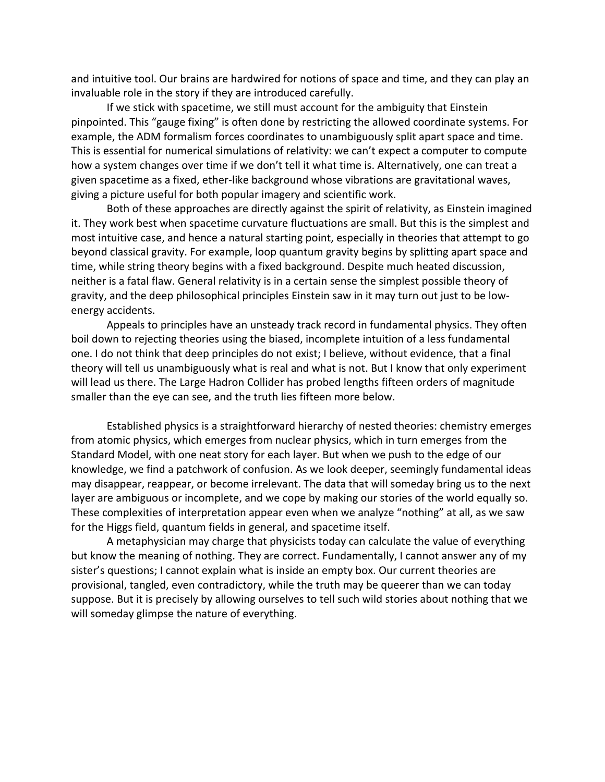and intuitive tool. Our brains are hardwired for notions of space and time, and they can play an invaluable role in the story if they are introduced carefully.

If we stick with spacetime, we still must account for the ambiguity that Einstein pinpointed. This "gauge fixing" is often done by restricting the allowed coordinate systems. For example, the ADM formalism forces coordinates to unambiguously split apart space and time. This is essential for numerical simulations of relativity: we can't expect a computer to compute how a system changes over time if we don't tell it what time is. Alternatively, one can treat a given spacetime as a fixed, ether-like background whose vibrations are gravitational waves, giving a picture useful for both popular imagery and scientific work.

Both of these approaches are directly against the spirit of relativity, as Einstein imagined it. They work best when spacetime curvature fluctuations are small. But this is the simplest and most intuitive case, and hence a natural starting point, especially in theories that attempt to go beyond classical gravity. For example, loop quantum gravity begins by splitting apart space and time, while string theory begins with a fixed background. Despite much heated discussion, neither is a fatal flaw. General relativity is in a certain sense the simplest possible theory of gravity, and the deep philosophical principles Einstein saw in it may turn out just to be lowenergy accidents.

Appeals to principles have an unsteady track record in fundamental physics. They often boil down to rejecting theories using the biased, incomplete intuition of a less fundamental one. I do not think that deep principles do not exist; I believe, without evidence, that a final theory will tell us unambiguously what is real and what is not. But I know that only experiment will lead us there. The Large Hadron Collider has probed lengths fifteen orders of magnitude smaller than the eye can see, and the truth lies fifteen more below.

Established physics is a straightforward hierarchy of nested theories: chemistry emerges from atomic physics, which emerges from nuclear physics, which in turn emerges from the Standard Model, with one neat story for each layer. But when we push to the edge of our knowledge, we find a patchwork of confusion. As we look deeper, seemingly fundamental ideas may disappear, reappear, or become irrelevant. The data that will someday bring us to the next layer are ambiguous or incomplete, and we cope by making our stories of the world equally so. These complexities of interpretation appear even when we analyze "nothing" at all, as we saw for the Higgs field, quantum fields in general, and spacetime itself.

A metaphysician may charge that physicists today can calculate the value of everything but know the meaning of nothing. They are correct. Fundamentally, I cannot answer any of my sister's questions; I cannot explain what is inside an empty box. Our current theories are provisional, tangled, even contradictory, while the truth may be queerer than we can today suppose. But it is precisely by allowing ourselves to tell such wild stories about nothing that we will someday glimpse the nature of everything.